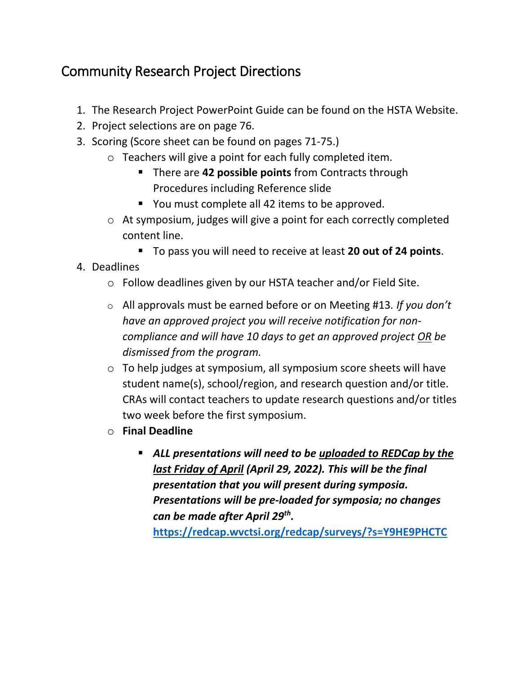## Community Research Project Directions

- 1. The Research Project PowerPoint Guide can be found on the HSTA Website.
- 2. Project selections are on page 76.
- 3. Scoring (Score sheet can be found on pages 71-75.)
	- o Teachers will give a point for each fully completed item.
		- **There are 42 possible points** from Contracts through Procedures including Reference slide
		- You must complete all 42 items to be approved.
	- o At symposium, judges will give a point for each correctly completed content line.
		- To pass you will need to receive at least **20 out of 24 points**.
- 4. Deadlines
	- o Follow deadlines given by our HSTA teacher and/or Field Site.
	- o All approvals must be earned before or on Meeting #13*. If you don't have an approved project you will receive notification for noncompliance and will have 10 days to get an approved project OR be dismissed from the program.*
	- o To help judges at symposium, all symposium score sheets will have student name(s), school/region, and research question and/or title. CRAs will contact teachers to update research questions and/or titles two week before the first symposium.
	- o **Final Deadline**
		- *ALL presentations will need to be uploaded to REDCap by the last Friday of April (April 29, 2022). This will be the final presentation that you will present during symposia. Presentations will be pre-loaded for symposia; no changes can be made after April 29th .*

**<https://redcap.wvctsi.org/redcap/surveys/?s=Y9HE9PHCTC>**